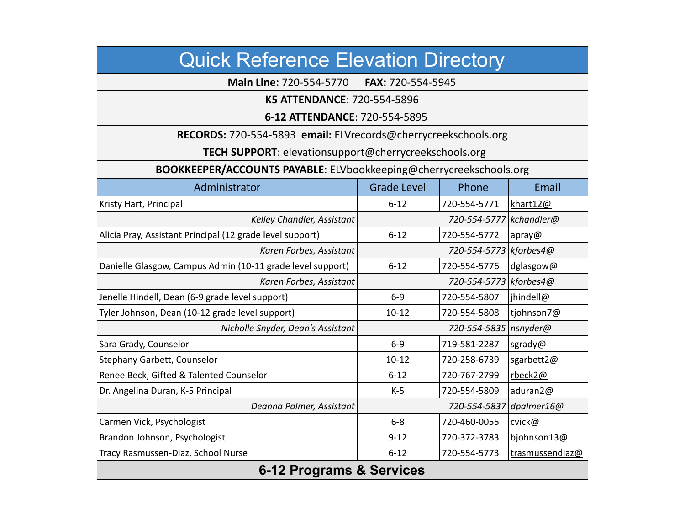| <b>Quick Reference Elevation Directory</b>                         |                         |                         |                 |  |
|--------------------------------------------------------------------|-------------------------|-------------------------|-----------------|--|
| Main Line: 720-554-5770<br>FAX: 720-554-5945                       |                         |                         |                 |  |
| K5 ATTENDANCE: 720-554-5896                                        |                         |                         |                 |  |
| 6-12 ATTENDANCE: 720-554-5895                                      |                         |                         |                 |  |
| RECORDS: 720-554-5893 email: ELVrecords@cherrycreekschools.org     |                         |                         |                 |  |
| TECH SUPPORT: elevationsupport@cherrycreekschools.org              |                         |                         |                 |  |
| BOOKKEEPER/ACCOUNTS PAYABLE: ELVbookkeeping@cherrycreekschools.org |                         |                         |                 |  |
| Administrator                                                      | <b>Grade Level</b>      | Phone                   | Email           |  |
| Kristy Hart, Principal                                             | $6 - 12$                | 720-554-5771            | khart12@        |  |
| Kelley Chandler, Assistant                                         |                         | 720-554-5777 kchandler@ |                 |  |
| Alicia Pray, Assistant Principal (12 grade level support)          | $6 - 12$                | 720-554-5772            | apray@          |  |
| Karen Forbes, Assistant                                            |                         | 720-554-5773 kforbes4@  |                 |  |
| Danielle Glasgow, Campus Admin (10-11 grade level support)         | $6 - 12$                | 720-554-5776            | dglasgow@       |  |
| Karen Forbes, Assistant                                            |                         | 720-554-5773 kforbes4@  |                 |  |
| Jenelle Hindell, Dean (6-9 grade level support)                    | $6-9$                   | 720-554-5807            | jhindell@       |  |
| Tyler Johnson, Dean (10-12 grade level support)                    | $10 - 12$               | 720-554-5808            | tjohnson7@      |  |
| Nicholle Snyder, Dean's Assistant                                  | 720-554-5835   nsnyder@ |                         |                 |  |
| Sara Grady, Counselor                                              | $6-9$                   | 719-581-2287            | sgrady@         |  |
| Stephany Garbett, Counselor                                        | $10 - 12$               | 720-258-6739            | sgarbett2@      |  |
| Renee Beck, Gifted & Talented Counselor                            | $6 - 12$                | 720-767-2799            | rbeck2@         |  |
| Dr. Angelina Duran, K-5 Principal                                  | $K-5$                   | 720-554-5809            | aduran2@        |  |
| Deanna Palmer, Assistant                                           |                         | 720-554-5837            | dpalmer16@      |  |
| Carmen Vick, Psychologist                                          | $6 - 8$                 | 720-460-0055            | cvick@          |  |
| Brandon Johnson, Psychologist                                      | $9 - 12$                | 720-372-3783            | bjohnson13@     |  |
| Tracy Rasmussen-Diaz, School Nurse                                 | $6 - 12$                | 720-554-5773            | trasmussendiaz@ |  |
| <b>6-12 Programs &amp; Services</b>                                |                         |                         |                 |  |